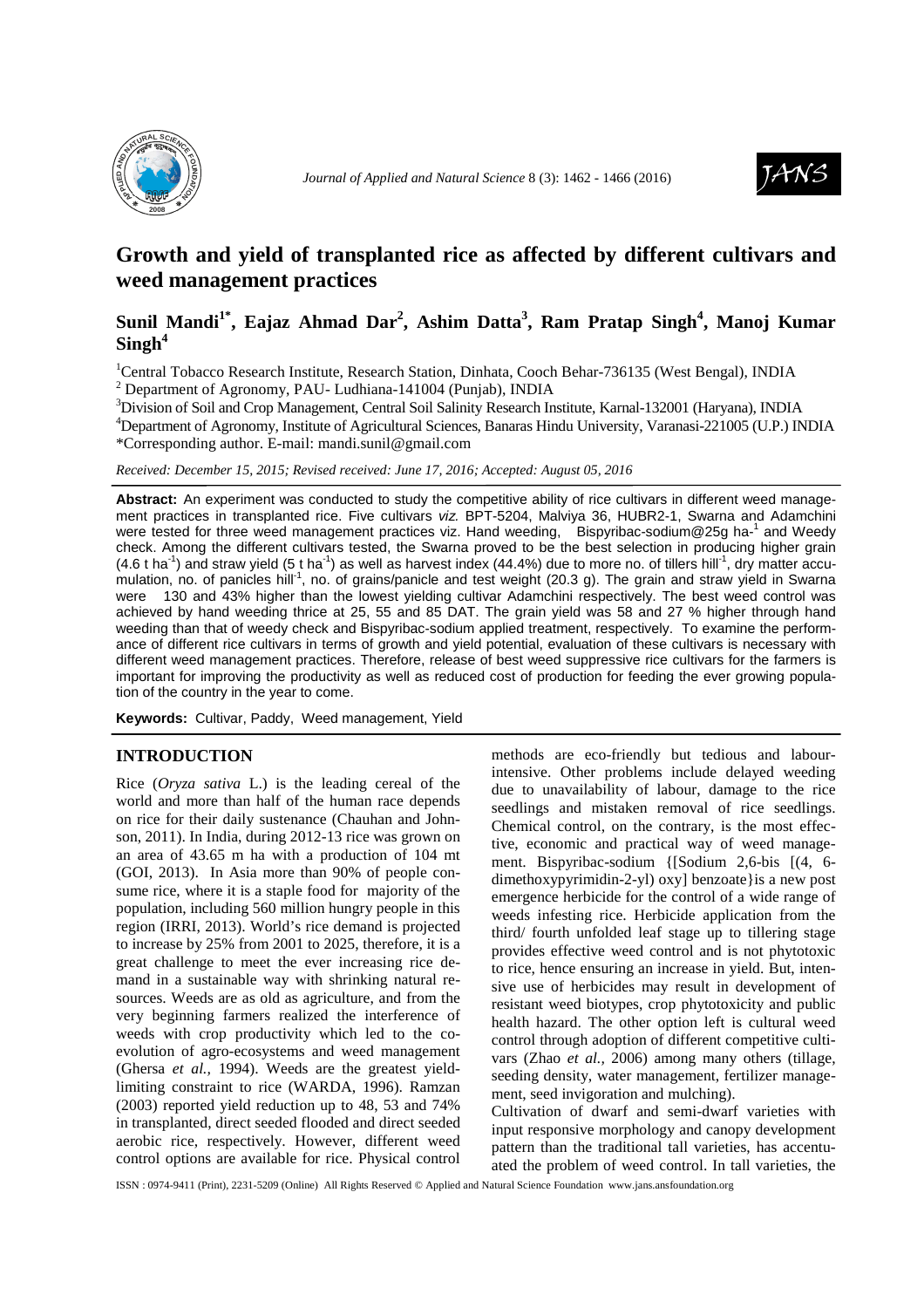



# **Growth and yield of transplanted rice as affected by different cultivars and weed management practices**

## **Sunil Mandi1\*, Eajaz Ahmad Dar<sup>2</sup> , Ashim Datta<sup>3</sup> , Ram Pratap Singh<sup>4</sup> , Manoj Kumar Singh<sup>4</sup>**

<sup>1</sup>Central Tobacco Research Institute, Research Station, Dinhata, Cooch Behar-736135 (West Bengal), INDIA <sup>2</sup> Department of Agronomy, PAU- Ludhiana-141004 (Punjab), INDIA

<sup>3</sup>Division of Soil and Crop Management, Central Soil Salinity Research Institute, Karnal-132001 (Haryana), INDIA

<sup>4</sup>Department of Agronomy, Institute of Agricultural Sciences, Banaras Hindu University, Varanasi-221005 (U.P.) INDIA \*Corresponding author. E-mail: mandi.sunil@gmail.com

*Received: December 15, 2015; Revised received: June 17, 2016; Accepted: August 05, 2016*

Abstract: An experiment was conducted to study the competitive ability of rice cultivars in different weed management practices in transplanted rice. Five cultivars viz. BPT-5204, Malviya 36, HUBR2-1, Swarna and Adamchini were tested for three weed management practices viz. Hand weeding, Bispyribac-sodium@25g ha-1 and Weedy check. Among the different cultivars tested, the Swarna proved to be the best selection in producing higher grain  $(4.6$  t ha<sup>-1</sup>) and straw yield  $(5$  t ha<sup>-1</sup>) as well as harvest index  $(44.4%)$  due to more no. of tillers hill<sup>-1</sup>, dry matter accumulation, no. of panicles hill<sup>-1</sup>, no. of grains/panicle and test weight (20.3 g). The grain and straw yield in Swarna were 130 and 43% higher than the lowest yielding cultivar Adamchini respectively. The best weed control was achieved by hand weeding thrice at 25, 55 and 85 DAT. The grain yield was 58 and 27 % higher through hand weeding than that of weedy check and Bispyribac-sodium applied treatment, respectively. To examine the performance of different rice cultivars in terms of growth and yield potential, evaluation of these cultivars is necessary with different weed management practices. Therefore, release of best weed suppressive rice cultivars for the farmers is important for improving the productivity as well as reduced cost of production for feeding the ever growing population of the country in the year to come.

**Keywords:** Cultivar, Paddy, Weed management, Yield

#### **INTRODUCTION**

Rice (*Oryza sativa* L.) is the leading cereal of the world and more than half of the human race depends on rice for their daily sustenance (Chauhan and Johnson, 2011). In India, during 2012-13 rice was grown on an area of 43.65 m ha with a production of 104 mt (GOI, 2013). In Asia more than 90% of people consume rice, where it is a staple food for majority of the population, including 560 million hungry people in this region (IRRI, 2013). World's rice demand is projected to increase by 25% from 2001 to 2025, therefore, it is a great challenge to meet the ever increasing rice demand in a sustainable way with shrinking natural resources. Weeds are as old as agriculture, and from the very beginning farmers realized the interference of weeds with crop productivity which led to the coevolution of agro-ecosystems and weed management (Ghersa *et al.,* 1994). Weeds are the greatest yieldlimiting constraint to rice (WARDA, 1996). Ramzan (2003) reported yield reduction up to 48, 53 and 74% in transplanted, direct seeded flooded and direct seeded aerobic rice, respectively. However, different weed control options are available for rice. Physical control

methods are eco-friendly but tedious and labourintensive. Other problems include delayed weeding due to unavailability of labour, damage to the rice seedlings and mistaken removal of rice seedlings. Chemical control, on the contrary, is the most effective, economic and practical way of weed management. Bispyribac-sodium {[Sodium 2,6-bis [(4, 6 dimethoxypyrimidin-2-yl) oxy] benzoate}is a new post emergence herbicide for the control of a wide range of weeds infesting rice. Herbicide application from the third/ fourth unfolded leaf stage up to tillering stage provides effective weed control and is not phytotoxic to rice, hence ensuring an increase in yield. But, intensive use of herbicides may result in development of resistant weed biotypes, crop phytotoxicity and public health hazard. The other option left is cultural weed control through adoption of different competitive cultivars (Zhao *et al.,* 2006) among many others (tillage, seeding density, water management, fertilizer management, seed invigoration and mulching).

Cultivation of dwarf and semi-dwarf varieties with input responsive morphology and canopy development pattern than the traditional tall varieties, has accentuated the problem of weed control. In tall varieties, the

ISSN : 0974-9411 (Print), 2231-5209 (Online) All Rights Reserved © Applied and Natural Science Foundation www.jans.ansfoundation.org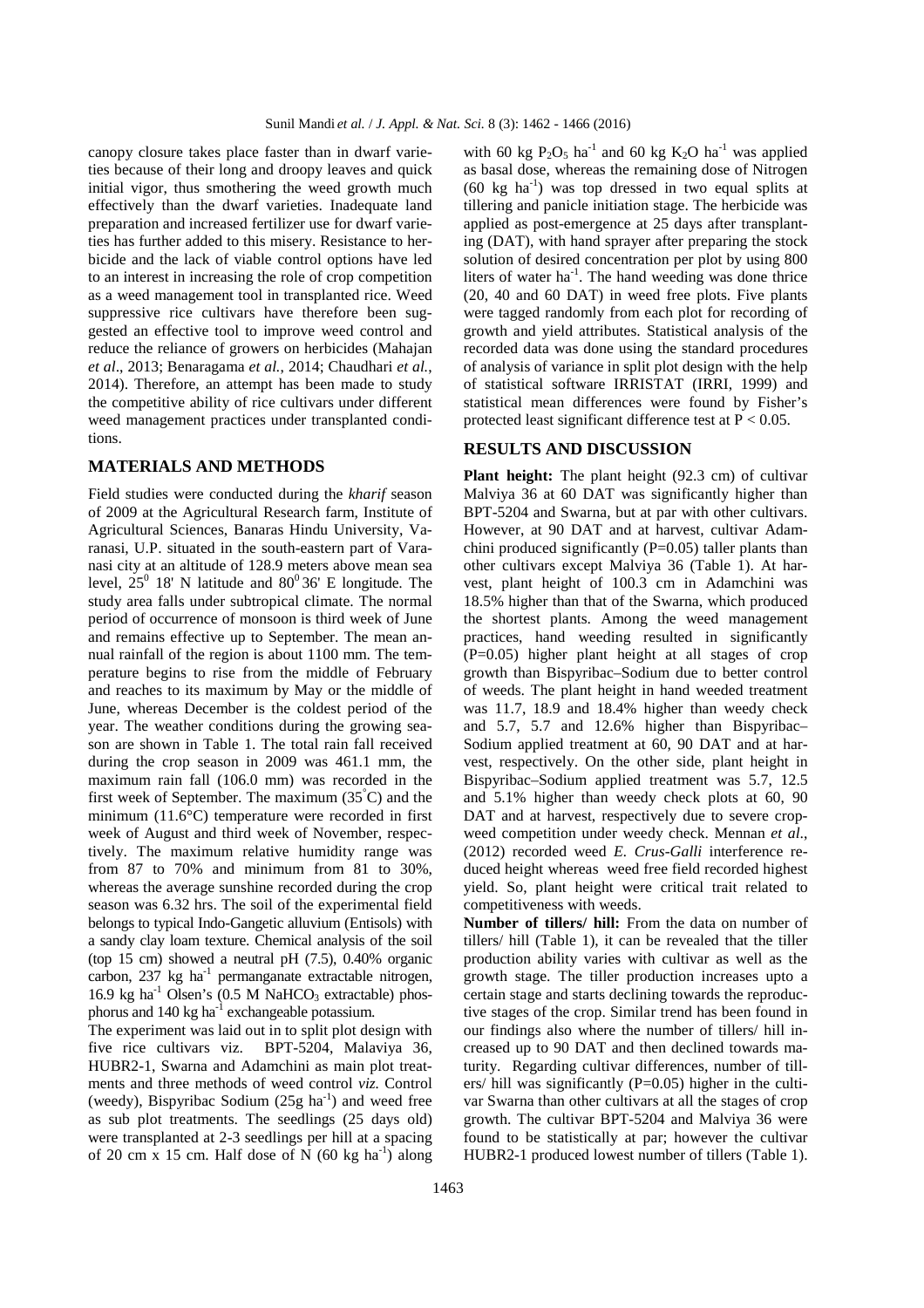canopy closure takes place faster than in dwarf varieties because of their long and droopy leaves and quick initial vigor, thus smothering the weed growth much effectively than the dwarf varieties. Inadequate land preparation and increased fertilizer use for dwarf varieties has further added to this misery. Resistance to herbicide and the lack of viable control options have led to an interest in increasing the role of crop competition as a weed management tool in transplanted rice. Weed suppressive rice cultivars have therefore been suggested an effective tool to improve weed control and reduce the reliance of growers on herbicides (Mahajan *et al*., 2013; Benaragama *et al.*, 2014; Chaudhari *et al.*, 2014). Therefore, an attempt has been made to study the competitive ability of rice cultivars under different weed management practices under transplanted conditions.

#### **MATERIALS AND METHODS**

Field studies were conducted during the *kharif* season of 2009 at the Agricultural Research farm, Institute of Agricultural Sciences, Banaras Hindu University, Varanasi, U.P. situated in the south-eastern part of Varanasi city at an altitude of 128.9 meters above mean sea level,  $25^0$  18' N latitude and  $80^0$ 36' E longitude. The study area falls under subtropical climate. The normal period of occurrence of monsoon is third week of June and remains effective up to September. The mean annual rainfall of the region is about 1100 mm. The temperature begins to rise from the middle of February and reaches to its maximum by May or the middle of June, whereas December is the coldest period of the year. The weather conditions during the growing season are shown in Table 1. The total rain fall received during the crop season in 2009 was 461.1 mm, the maximum rain fall (106.0 mm) was recorded in the first week of September. The maximum  $(35<sup>°</sup>C)$  and the minimum (11.6°C) temperature were recorded in first week of August and third week of November, respectively. The maximum relative humidity range was from 87 to 70% and minimum from 81 to 30%, whereas the average sunshine recorded during the crop season was 6.32 hrs. The soil of the experimental field belongs to typical Indo-Gangetic alluvium (Entisols) with a sandy clay loam texture. Chemical analysis of the soil (top 15 cm) showed a neutral pH  $(7.5)$ , 0.40% organic carbon, 237 kg ha<sup>-1</sup> permanganate extractable nitrogen, 16.9 kg ha<sup>-1</sup> Olsen's  $(0.5 M NaHCO<sub>3</sub>$  extractable) phosphorus and  $140 \text{ kg}$  ha<sup>-1</sup> exchangeable potassium.

The experiment was laid out in to split plot design with five rice cultivars viz. BPT-5204, Malaviya 36, HUBR2-1, Swarna and Adamchini as main plot treatments and three methods of weed control *viz.* Control (weedy), Bispyribac Sodium  $(25g \text{ ha}^{-1})$  and weed free as sub plot treatments. The seedlings (25 days old) were transplanted at 2-3 seedlings per hill at a spacing of 20 cm x 15 cm. Half dose of N  $(60 \text{ kg ha}^{-1})$  along

with 60 kg  $P_2O_5$  ha<sup>-1</sup> and 60 kg K<sub>2</sub>O ha<sup>-1</sup> was applied as basal dose, whereas the remaining dose of Nitrogen  $(60 \text{ kg } \text{ha}^{-1})$  was top dressed in two equal splits at tillering and panicle initiation stage. The herbicide was applied as post-emergence at 25 days after transplanting (DAT), with hand sprayer after preparing the stock solution of desired concentration per plot by using 800 liters of water  $ha^{-1}$ . The hand weeding was done thrice (20, 40 and 60 DAT) in weed free plots. Five plants were tagged randomly from each plot for recording of growth and yield attributes. Statistical analysis of the recorded data was done using the standard procedures of analysis of variance in split plot design with the help of statistical software IRRISTAT (IRRI, 1999) and statistical mean differences were found by Fisher's protected least significant difference test at  $P < 0.05$ .

### **RESULTS AND DISCUSSION**

**Plant height:** The plant height (92.3 cm) of cultivar Malviya 36 at 60 DAT was significantly higher than BPT-5204 and Swarna, but at par with other cultivars. However, at 90 DAT and at harvest, cultivar Adamchini produced significantly  $(P=0.05)$  taller plants than other cultivars except Malviya 36 (Table 1). At harvest, plant height of 100.3 cm in Adamchini was 18.5% higher than that of the Swarna, which produced the shortest plants. Among the weed management practices, hand weeding resulted in significantly (P=0.05) higher plant height at all stages of crop growth than Bispyribac–Sodium due to better control of weeds. The plant height in hand weeded treatment was 11.7, 18.9 and 18.4% higher than weedy check and 5.7, 5.7 and 12.6% higher than Bispyribac– Sodium applied treatment at 60, 90 DAT and at harvest, respectively. On the other side, plant height in Bispyribac–Sodium applied treatment was 5.7, 12.5 and 5.1% higher than weedy check plots at 60, 90 DAT and at harvest, respectively due to severe cropweed competition under weedy check. Mennan *et al*., (2012) recorded weed *E. Crus-Galli* interference reduced height whereas weed free field recorded highest yield. So, plant height were critical trait related to competitiveness with weeds.

**Number of tillers/ hill:** From the data on number of tillers/ hill (Table 1), it can be revealed that the tiller production ability varies with cultivar as well as the growth stage. The tiller production increases upto a certain stage and starts declining towards the reproductive stages of the crop. Similar trend has been found in our findings also where the number of tillers/ hill increased up to 90 DAT and then declined towards maturity. Regarding cultivar differences, number of tillers/ hill was significantly  $(P=0.05)$  higher in the cultivar Swarna than other cultivars at all the stages of crop growth. The cultivar BPT-5204 and Malviya 36 were found to be statistically at par; however the cultivar HUBR2-1 produced lowest number of tillers (Table 1).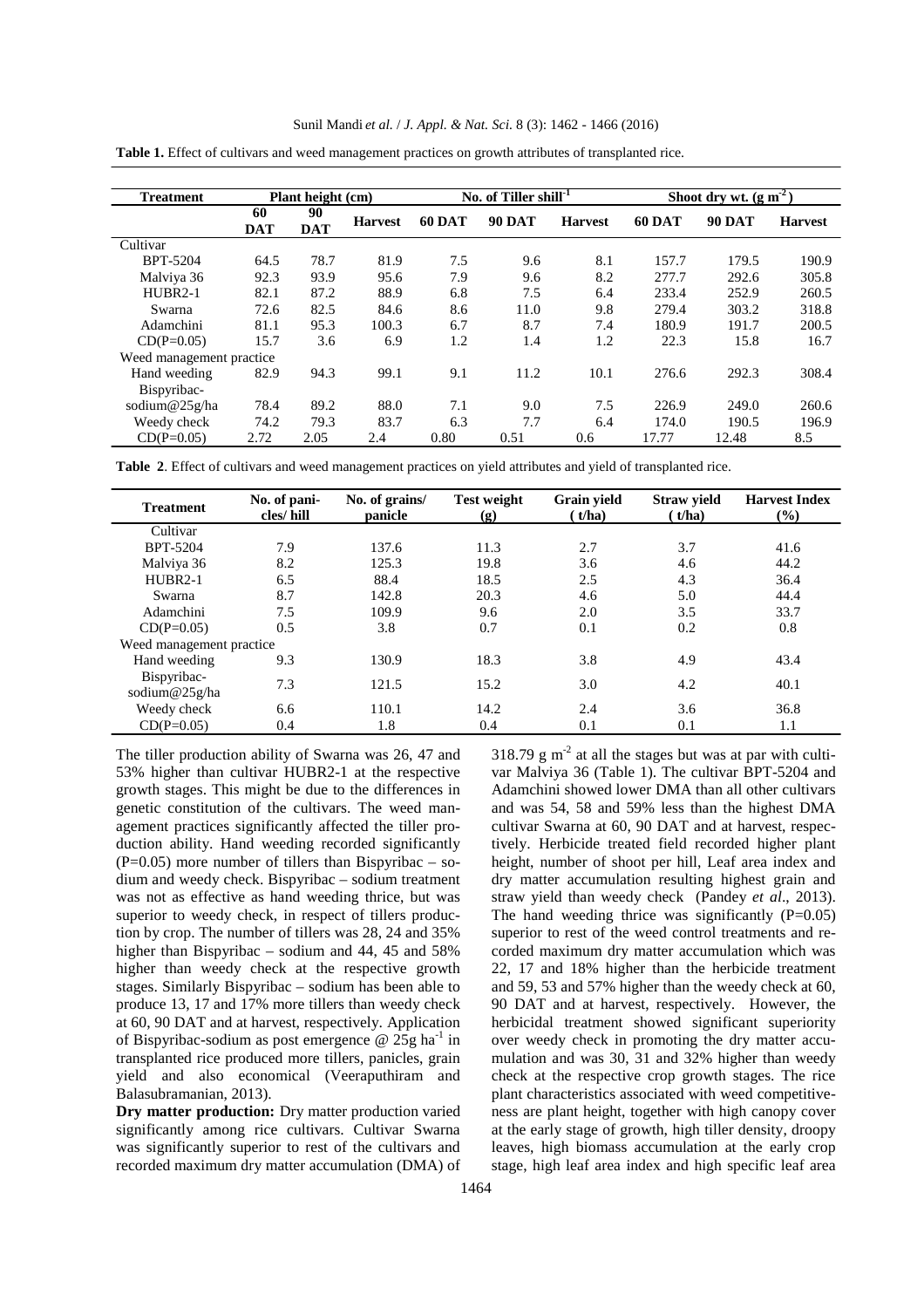| <b>Treatment</b>          | Plant height (cm) |                  |                | No. of Tiller shill <sup>-1</sup> |               |                | Shoot dry wt. $(g m2)$ |               |                |
|---------------------------|-------------------|------------------|----------------|-----------------------------------|---------------|----------------|------------------------|---------------|----------------|
|                           | 60<br><b>DAT</b>  | 90<br><b>DAT</b> | <b>Harvest</b> | <b>60 DAT</b>                     | <b>90 DAT</b> | <b>Harvest</b> | <b>60 DAT</b>          | <b>90 DAT</b> | <b>Harvest</b> |
| Cultivar                  |                   |                  |                |                                   |               |                |                        |               |                |
| BPT-5204                  | 64.5              | 78.7             | 81.9           | 7.5                               | 9.6           | 8.1            | 157.7                  | 179.5         | 190.9          |
| Malviya 36                | 92.3              | 93.9             | 95.6           | 7.9                               | 9.6           | 8.2            | 277.7                  | 292.6         | 305.8          |
| $HUBR2-1$                 | 82.1              | 87.2             | 88.9           | 6.8                               | 7.5           | 6.4            | 233.4                  | 252.9         | 260.5          |
| Swarna                    | 72.6              | 82.5             | 84.6           | 8.6                               | 11.0          | 9.8            | 279.4                  | 303.2         | 318.8          |
| Adamchini                 | 81.1              | 95.3             | 100.3          | 6.7                               | 8.7           | 7.4            | 180.9                  | 191.7         | 200.5          |
| $CD(P=0.05)$              | 15.7              | 3.6              | 6.9            | 1.2                               | 1.4           | 1.2            | 22.3                   | 15.8          | 16.7           |
| Weed management practice. |                   |                  |                |                                   |               |                |                        |               |                |
| Hand weeding              | 82.9              | 94.3             | 99.1           | 9.1                               | 11.2          | 10.1           | 276.6                  | 292.3         | 308.4          |
| Bispyribac-               |                   |                  |                |                                   |               |                |                        |               |                |
| sodium@25g/ha             | 78.4              | 89.2             | 88.0           | 7.1                               | 9.0           | 7.5            | 226.9                  | 249.0         | 260.6          |
| Weedy check               | 74.2              | 79.3             | 83.7           | 6.3                               | 7.7           | 6.4            | 174.0                  | 190.5         | 196.9          |
| $CD(P=0.05)$              | 2.72              | 2.05             | 2.4            | 0.80                              | 0.51          | 0.6            | 17.77                  | 12.48         | 8.5            |

**Table 1.** Effect of cultivars and weed management practices on growth attributes of transplanted rice.

**Table 2**. Effect of cultivars and weed management practices on yield attributes and yield of transplanted rice.

| <b>Treatment</b>             | No. of pani-<br>cles/hill | No. of grains/<br>panicle | <b>Test weight</b><br>(g) | Grain yield<br>t/ha) | <b>Straw yield</b><br>(t/ha) | <b>Harvest Index</b><br>(%) |  |  |
|------------------------------|---------------------------|---------------------------|---------------------------|----------------------|------------------------------|-----------------------------|--|--|
| Cultivar                     |                           |                           |                           |                      |                              |                             |  |  |
| <b>BPT-5204</b>              | 7.9                       | 137.6                     | 11.3                      | 2.7                  | 3.7                          | 41.6                        |  |  |
| Malviya 36                   | 8.2                       | 125.3                     | 19.8                      | 3.6                  | 4.6                          | 44.2                        |  |  |
| $HUBR2-1$                    | 6.5                       | 88.4                      | 18.5                      | 2.5                  | 4.3                          | 36.4                        |  |  |
| Swarna                       | 8.7                       | 142.8                     | 20.3                      | 4.6                  | 5.0                          | 44.4                        |  |  |
| Adamchini                    | 7.5                       | 109.9                     | 9.6                       | 2.0                  | 3.5                          | 33.7                        |  |  |
| $CD(P=0.05)$                 | 0.5                       | 3.8                       | 0.7                       | 0.1                  | 0.2                          | 0.8                         |  |  |
| Weed management practice.    |                           |                           |                           |                      |                              |                             |  |  |
| Hand weeding                 | 9.3                       | 130.9                     | 18.3                      | 3.8                  | 4.9                          | 43.4                        |  |  |
| Bispyribac-<br>sodium@25g/ha | 7.3                       | 121.5                     | 15.2                      | 3.0                  | 4.2                          | 40.1                        |  |  |
| Weedy check                  | 6.6                       | 110.1                     | 14.2                      | 2.4                  | 3.6                          | 36.8                        |  |  |
| $CD(P=0.05)$                 | 0.4                       | 1.8                       | 0.4                       | 0.1                  | 0.1                          | 1.1                         |  |  |

The tiller production ability of Swarna was 26, 47 and 53% higher than cultivar HUBR2-1 at the respective growth stages. This might be due to the differences in genetic constitution of the cultivars. The weed management practices significantly affected the tiller production ability. Hand weeding recorded significantly  $(P=0.05)$  more number of tillers than Bispyribac – sodium and weedy check. Bispyribac – sodium treatment was not as effective as hand weeding thrice, but was superior to weedy check, in respect of tillers production by crop. The number of tillers was 28, 24 and 35% higher than Bispyribac – sodium and 44, 45 and 58% higher than weedy check at the respective growth stages. Similarly Bispyribac – sodium has been able to produce 13, 17 and 17% more tillers than weedy check at 60, 90 DAT and at harvest, respectively. Application of Bispyribac-sodium as post emergence  $@$  25g ha<sup>-1</sup> in transplanted rice produced more tillers, panicles, grain yield and also economical (Veeraputhiram and Balasubramanian, 2013).

**Dry matter production:** Dry matter production varied significantly among rice cultivars. Cultivar Swarna was significantly superior to rest of the cultivars and recorded maximum dry matter accumulation (DMA) of 318.79  $\rm g$  m<sup>-2</sup> at all the stages but was at par with cultivar Malviya 36 (Table 1). The cultivar BPT-5204 and Adamchini showed lower DMA than all other cultivars and was 54, 58 and 59% less than the highest DMA cultivar Swarna at 60, 90 DAT and at harvest, respectively. Herbicide treated field recorded higher plant height, number of shoot per hill, Leaf area index and dry matter accumulation resulting highest grain and straw yield than weedy check (Pandey *et al*., 2013). The hand weeding thrice was significantly  $(P=0.05)$ superior to rest of the weed control treatments and recorded maximum dry matter accumulation which was 22, 17 and 18% higher than the herbicide treatment and 59, 53 and 57% higher than the weedy check at 60, 90 DAT and at harvest, respectively. However, the herbicidal treatment showed significant superiority over weedy check in promoting the dry matter accumulation and was 30, 31 and 32% higher than weedy check at the respective crop growth stages. The rice plant characteristics associated with weed competitiveness are plant height, together with high canopy cover at the early stage of growth, high tiller density, droopy leaves, high biomass accumulation at the early crop stage, high leaf area index and high specific leaf area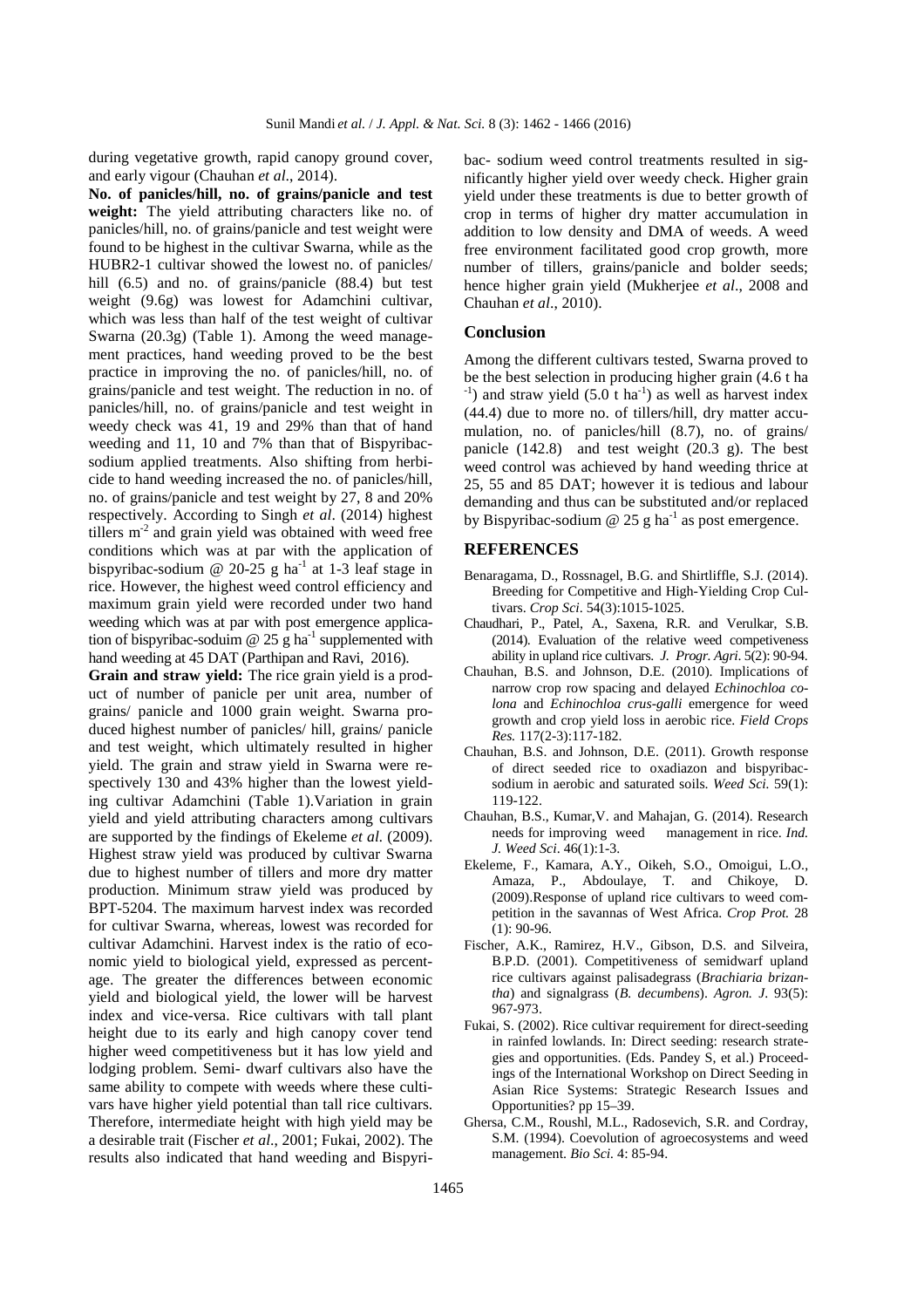during vegetative growth, rapid canopy ground cover, and early vigour (Chauhan *et al*., 2014).

**No. of panicles/hill, no. of grains/panicle and test weight:** The yield attributing characters like no. of panicles/hill, no. of grains/panicle and test weight were found to be highest in the cultivar Swarna, while as the HUBR2-1 cultivar showed the lowest no. of panicles/ hill (6.5) and no. of grains/panicle (88.4) but test weight (9.6g) was lowest for Adamchini cultivar, which was less than half of the test weight of cultivar Swarna (20.3g) (Table 1). Among the weed management practices, hand weeding proved to be the best practice in improving the no. of panicles/hill, no. of grains/panicle and test weight. The reduction in no. of panicles/hill, no. of grains/panicle and test weight in weedy check was 41, 19 and 29% than that of hand weeding and 11, 10 and 7% than that of Bispyribacsodium applied treatments. Also shifting from herbicide to hand weeding increased the no. of panicles/hill, no. of grains/panicle and test weight by 27, 8 and 20% respectively. According to Singh *et al*. (2014) highest tillers  $m<sup>2</sup>$  and grain yield was obtained with weed free conditions which was at par with the application of bispyribac-sodium @ 20-25 g ha<sup>-1</sup> at 1-3 leaf stage in rice. However, the highest weed control efficiency and maximum grain yield were recorded under two hand weeding which was at par with post emergence application of bispyribac-soduim  $\omega$  25 g ha<sup>-1</sup> supplemented with hand weeding at 45 DAT (Parthipan and Ravi, 2016).

**Grain and straw yield:** The rice grain yield is a product of number of panicle per unit area, number of grains/ panicle and 1000 grain weight. Swarna produced highest number of panicles/ hill, grains/ panicle and test weight, which ultimately resulted in higher yield. The grain and straw yield in Swarna were respectively 130 and 43% higher than the lowest yielding cultivar Adamchini (Table 1).Variation in grain yield and yield attributing characters among cultivars are supported by the findings of Ekeleme *et al.* (2009). Highest straw yield was produced by cultivar Swarna due to highest number of tillers and more dry matter production. Minimum straw yield was produced by BPT-5204. The maximum harvest index was recorded for cultivar Swarna, whereas, lowest was recorded for cultivar Adamchini. Harvest index is the ratio of economic yield to biological yield, expressed as percentage. The greater the differences between economic yield and biological yield, the lower will be harvest index and vice-versa. Rice cultivars with tall plant height due to its early and high canopy cover tend higher weed competitiveness but it has low yield and lodging problem. Semi- dwarf cultivars also have the same ability to compete with weeds where these cultivars have higher yield potential than tall rice cultivars. Therefore, intermediate height with high yield may be a desirable trait (Fischer *et al*., 2001; Fukai, 2002). The results also indicated that hand weeding and Bispyri-

bac- sodium weed control treatments resulted in significantly higher yield over weedy check. Higher grain yield under these treatments is due to better growth of crop in terms of higher dry matter accumulation in addition to low density and DMA of weeds. A weed free environment facilitated good crop growth, more number of tillers, grains/panicle and bolder seeds; hence higher grain yield (Mukherjee *et al*., 2008 and Chauhan *et al*., 2010).

#### **Conclusion**

Among the different cultivars tested, Swarna proved to be the best selection in producing higher grain (4.6 t ha  $^{-1}$ ) and straw yield (5.0 t ha<sup>-1</sup>) as well as harvest index (44.4) due to more no. of tillers/hill, dry matter accumulation, no. of panicles/hill (8.7), no. of grains/ panicle (142.8) and test weight (20.3 g). The best weed control was achieved by hand weeding thrice at 25, 55 and 85 DAT; however it is tedious and labour demanding and thus can be substituted and/or replaced by Bispyribac-sodium  $\omega$  25 g ha<sup>-1</sup> as post emergence.

#### **REFERENCES**

- Benaragama, D., Rossnagel, B.G. and Shirtliffle, S.J. (2014). Breeding for Competitive and High-Yielding Crop Cultivars. *Crop Sci*. 54(3):1015-1025.
- Chaudhari, P., Patel, A., Saxena, R.R. and Verulkar, S.B. (2014). Evaluation of the relative weed competiveness ability in upland rice cultivars. *J. Progr. Agri*. 5(2): 90-94.
- Chauhan, B.S. and Johnson, D.E. (2010). Implications of narrow crop row spacing and delayed *Echinochloa colona* and *Echinochloa crus-galli* emergence for weed growth and crop yield loss in aerobic rice. *Field Crops Res.* 117(2-3):117-182.
- Chauhan, B.S. and Johnson, D.E. (2011). Growth response of direct seeded rice to oxadiazon and bispyribacsodium in aerobic and saturated soils. *Weed Sci.* 59(1): 119-122.
- Chauhan, B.S., Kumar,V. and Mahajan, G. (2014). Research needs for improving weed management in rice. *Ind. J. Weed Sci*. 46(1):1-3.
- Ekeleme, F., Kamara, A.Y., Oikeh, S.O., Omoigui, L.O., Amaza, P., Abdoulaye, T. and Chikoye, D. (2009).Response of upland rice cultivars to weed competition in the savannas of West Africa. *Crop Prot.* 28 (1): 90-96.
- Fischer, A.K., Ramirez, H.V., Gibson, D.S. and Silveira, B.P.D. (2001). Competitiveness of semidwarf upland rice cultivars against palisadegrass (*Brachiaria brizantha*) and signalgrass (*B. decumbens*). *Agron. J*. 93(5): 967-973.
- Fukai, S. (2002). Rice cultivar requirement for direct-seeding in rainfed lowlands. In: Direct seeding: research strategies and opportunities. (Eds. Pandey S, et al.) Proceedings of the International Workshop on Direct Seeding in Asian Rice Systems: Strategic Research Issues and Opportunities? pp 15–39.
- Ghersa, C.M., Roushl, M.L., Radosevich, S.R. and Cordray, S.M. (1994). Coevolution of agroecosystems and weed management. *Bio Sci.* 4: 85-94.